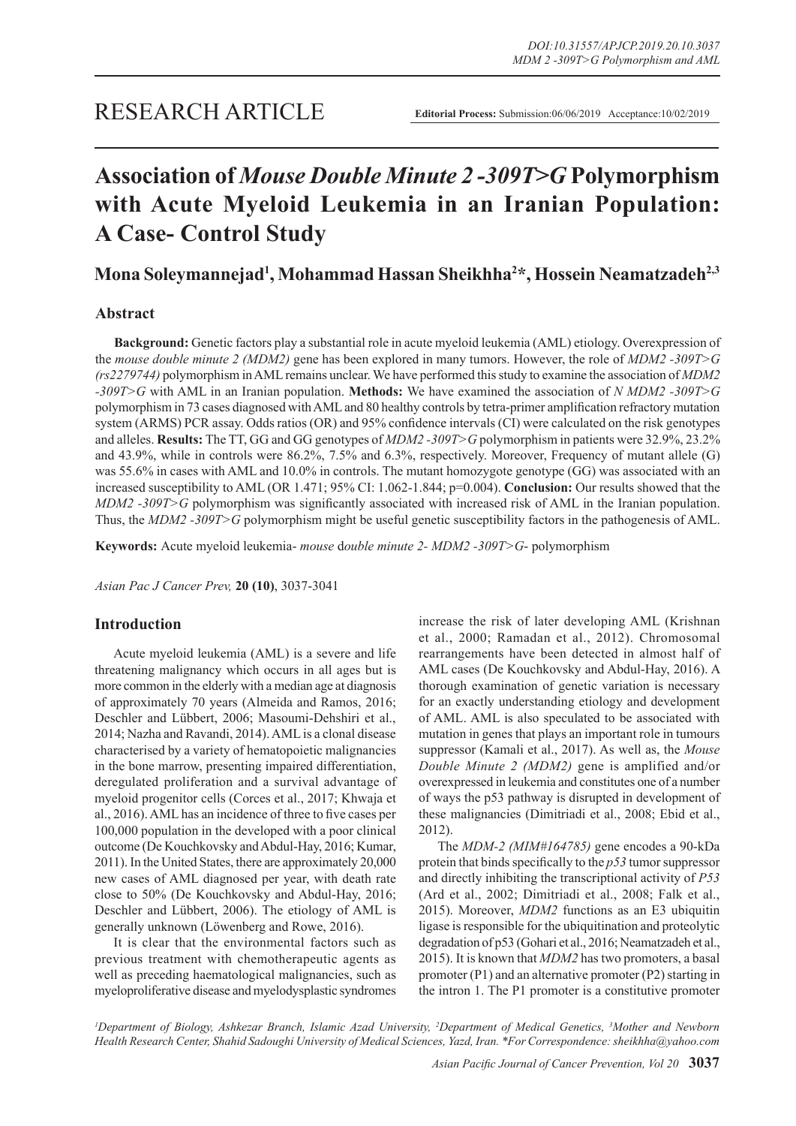# **Association of** *Mouse Double Minute 2 -309T>G* **Polymorphism with Acute Myeloid Leukemia in an Iranian Population: A Case- Control Study**

**Mona Soleymannejad1 , Mohammad Hassan Sheikhha2 \*, Hossein Neamatzadeh2,3**

# **Abstract**

**Background:** Genetic factors play a substantial role in acute myeloid leukemia (AML) etiology. Overexpression of the *mouse double minute 2 (MDM2)* gene has been explored in many tumors. However, the role of *MDM2 -309T>G (rs2279744)* polymorphism in AML remains unclear. We have performed this study to examine the association of *MDM2 -309T>G* with AML in an Iranian population. **Methods:** We have examined the association of *N MDM2 -309T>G* polymorphism in 73 cases diagnosed with AML and 80 healthy controls by tetra-primer amplification refractory mutation system (ARMS) PCR assay. Odds ratios (OR) and 95% confidence intervals (CI) were calculated on the risk genotypes and alleles. **Results:** The TT, GG and GG genotypes of *MDM2 -309T>G* polymorphism in patients were 32.9%, 23.2% and 43.9%, while in controls were 86.2%, 7.5% and 6.3%, respectively. Moreover, Frequency of mutant allele (G) was 55.6% in cases with AML and 10.0% in controls. The mutant homozygote genotype (GG) was associated with an increased susceptibility to AML (OR 1.471; 95% CI: 1.062-1.844; p=0.004). **Conclusion:** Our results showed that the *MDM2 -309T>G* polymorphism was significantly associated with increased risk of AML in the Iranian population. Thus, the *MDM2 -309T>G* polymorphism might be useful genetic susceptibility factors in the pathogenesis of AML.

**Keywords:** Acute myeloid leukemia- *mouse* d*ouble minute 2- MDM2 -309T>G*- polymorphism

*Asian Pac J Cancer Prev,* **20 (10)**, 3037-3041

# **Introduction**

Acute myeloid leukemia (AML) is a severe and life threatening malignancy which occurs in all ages but is more common in the elderly with a median age at diagnosis of approximately 70 years (Almeida and Ramos, 2016; Deschler and Lübbert, 2006; Masoumi-Dehshiri et al., 2014; Nazha and Ravandi, 2014). AML is a clonal disease characterised by a variety of hematopoietic malignancies in the bone marrow, presenting impaired differentiation, deregulated proliferation and a survival advantage of myeloid progenitor cells (Corces et al., 2017; Khwaja et al., 2016). AML has an incidence of three to five cases per 100,000 population in the developed with a poor clinical outcome (De Kouchkovsky and Abdul-Hay, 2016; Kumar, 2011). In the United States, there are approximately 20,000 new cases of AML diagnosed per year, with death rate close to 50% (De Kouchkovsky and Abdul-Hay, 2016; Deschler and Lübbert, 2006). The etiology of AML is generally unknown (Löwenberg and Rowe, 2016).

It is clear that the environmental factors such as previous treatment with chemotherapeutic agents as well as preceding haematological malignancies, such as myeloproliferative disease and myelodysplastic syndromes increase the risk of later developing AML (Krishnan et al., 2000; Ramadan et al., 2012). Chromosomal rearrangements have been detected in almost half of AML cases (De Kouchkovsky and Abdul-Hay, 2016). A thorough examination of genetic variation is necessary for an exactly understanding etiology and development of AML. AML is also speculated to be associated with mutation in genes that plays an important role in tumours suppressor (Kamali et al., 2017). As well as, the *Mouse Double Minute 2 (MDM2)* gene is amplified and/or overexpressed in leukemia and constitutes one of a number of ways the p53 pathway is disrupted in development of these malignancies (Dimitriadi et al., 2008; Ebid et al., 2012).

The *MDM-2 (MIM#164785)* gene encodes a 90-kDa protein that binds specifically to the *p53* tumor suppressor and directly inhibiting the transcriptional activity of *P53*  (Ard et al., 2002; Dimitriadi et al., 2008; Falk et al., 2015). Moreover, *MDM2* functions as an E3 ubiquitin ligase is responsible for the ubiquitination and proteolytic degradation of p53 (Gohari et al., 2016; Neamatzadeh et al., 2015). It is known that *MDM2* has two promoters, a basal promoter (P1) and an alternative promoter (P2) starting in the intron 1. The P1 promoter is a constitutive promoter

*1 Department of Biology, Ashkezar Branch, Islamic Azad University, 2 Department of Medical Genetics, 3 Mother and Newborn Health Research Center, Shahid Sadoughi University of Medical Sciences, Yazd, Iran. \*For Correspondence: sheikhha@yahoo.com*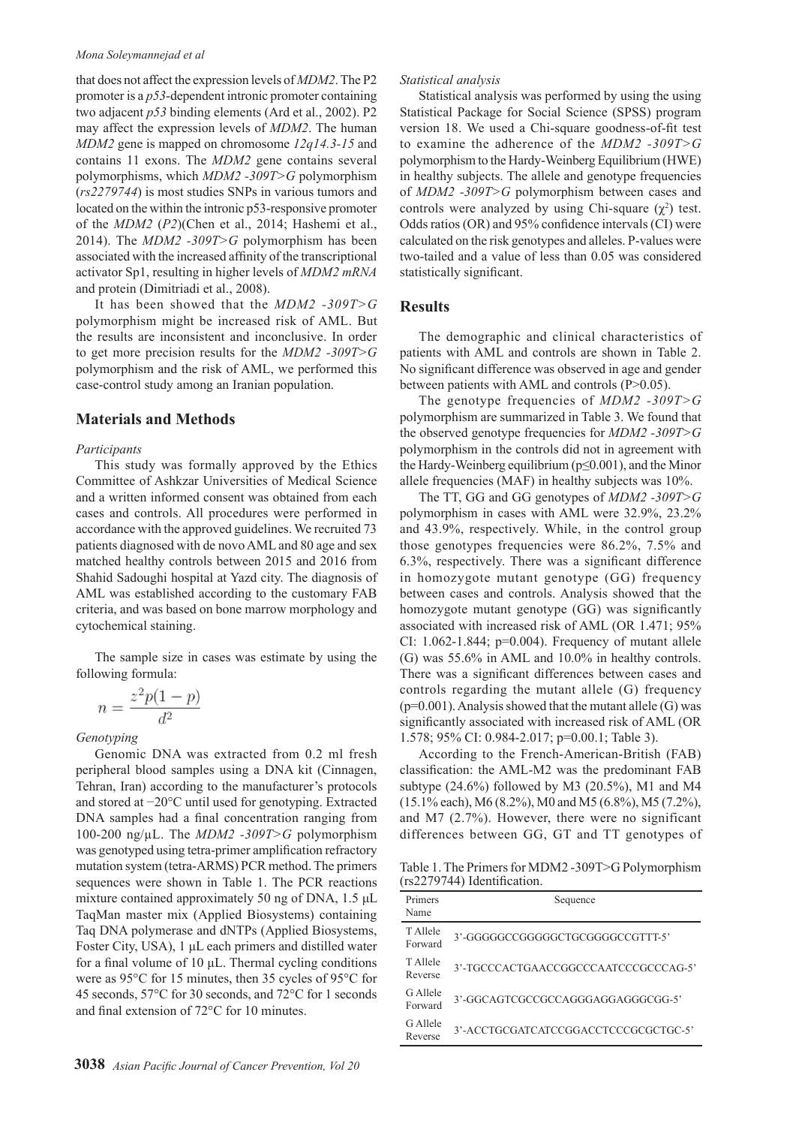#### *Mona Soleymannejad et al*

that does not affect the expression levels of *MDM2*. The P2 promoter is a *p53*-dependent intronic promoter containing two adjacent *p53* binding elements (Ard et al., 2002). P2 may affect the expression levels of *MDM2*. The human *MDM2* gene is mapped on chromosome *12q14.3-15* and contains 11 exons. The *MDM2* gene contains several polymorphisms, which *MDM2 -309T>G* polymorphism (*rs2279744*) is most studies SNPs in various tumors and located on the within the intronic p53-responsive promoter of the *MDM2* (*P2*)(Chen et al., 2014; Hashemi et al., 2014). The *MDM2 -309T>G* polymorphism has been associated with the increased affinity of the transcriptional activator Sp1, resulting in higher levels of *MDM2 mRNA* and protein (Dimitriadi et al., 2008).

It has been showed that the *MDM2 -309T>G*  polymorphism might be increased risk of AML. But the results are inconsistent and inconclusive. In order to get more precision results for the *MDM2 -309T>G* polymorphism and the risk of AML, we performed this case-control study among an Iranian population.

### **Materials and Methods**

#### *Participants*

This study was formally approved by the Ethics Committee of Ashkzar Universities of Medical Science and a written informed consent was obtained from each cases and controls. All procedures were performed in accordance with the approved guidelines. We recruited 73 patients diagnosed with de novo AML and 80 age and sex matched healthy controls between 2015 and 2016 from Shahid Sadoughi hospital at Yazd city. The diagnosis of AML was established according to the customary FAB criteria, and was based on bone marrow morphology and cytochemical staining.

The sample size in cases was estimate by using the following formula:

$$
=\frac{z^2p(1-p)}{d^2}
$$

#### *Genotyping*

 $\boldsymbol{n}$ 

Genomic DNA was extracted from 0.2 ml fresh peripheral blood samples using a DNA kit (Cinnagen, Tehran, Iran) according to the manufacturer's protocols and stored at −20°C until used for genotyping. Extracted DNA samples had a final concentration ranging from 100-200 ng/µL. The *MDM2 -309T>G* polymorphism was genotyped using tetra-primer amplification refractory mutation system (tetra-ARMS) PCR method. The primers sequences were shown in Table 1. The PCR reactions mixture contained approximately 50 ng of DNA, 1.5 μL TaqMan master mix (Applied Biosystems) containing Taq DNA polymerase and dNTPs (Applied Biosystems, Foster City, USA), 1 μL each primers and distilled water for a final volume of 10  $\mu$ L. Thermal cycling conditions were as 95°C for 15 minutes, then 35 cycles of 95°C for 45 seconds, 57°C for 30 seconds, and 72°C for 1 seconds and final extension of 72°C for 10 minutes.

## *Statistical analysis*

Statistical analysis was performed by using the using Statistical Package for Social Science (SPSS) program version 18. We used a Chi-square goodness-of-fit test to examine the adherence of the *MDM2 -309T>G* polymorphism to the Hardy-Weinberg Equilibrium (HWE) in healthy subjects. The allele and genotype frequencies of *MDM2 -309T>G* polymorphism between cases and controls were analyzed by using Chi-square  $(\chi^2)$  test. Odds ratios (OR) and 95% confidence intervals (CI) were calculated on the risk genotypes and alleles. P-values were two-tailed and a value of less than 0.05 was considered statistically significant.

## **Results**

The demographic and clinical characteristics of patients with AML and controls are shown in Table 2. No significant difference was observed in age and gender between patients with AML and controls (P>0.05).

The genotype frequencies of *MDM2 -309T>G* polymorphism are summarized in Table 3. We found that the observed genotype frequencies for *MDM2 -309T>G* polymorphism in the controls did not in agreement with the Hardy-Weinberg equilibrium (p≤0.001), and the Minor allele frequencies (MAF) in healthy subjects was 10%.

The TT, GG and GG genotypes of *MDM2 -309T>G* polymorphism in cases with AML were 32.9%, 23.2% and 43.9%, respectively. While, in the control group those genotypes frequencies were 86.2%, 7.5% and 6.3%, respectively. There was a significant difference in homozygote mutant genotype (GG) frequency between cases and controls. Analysis showed that the homozygote mutant genotype (GG) was significantly associated with increased risk of AML (OR 1.471; 95% CI:  $1.062 - 1.844$ ;  $p=0.004$ ). Frequency of mutant allele (G) was 55.6% in AML and 10.0% in healthy controls. There was a significant differences between cases and controls regarding the mutant allele (G) frequency  $(p=0.001)$ . Analysis showed that the mutant allele (G) was significantly associated with increased risk of AML (OR 1.578; 95% CI: 0.984-2.017; p=0.00.1; Table 3).

According to the French-American-British (FAB) classification: the AML-M2 was the predominant FAB subtype  $(24.6\%)$  followed by M3  $(20.5\%)$ , M1 and M4 (15.1% each), M6 (8.2%), M0 and M5 (6.8%), M5 (7.2%), and M7 (2.7%). However, there were no significant differences between GG, GT and TT genotypes of

Table 1. The Primers for MDM2 -309T>G Polymorphism (rs2279744) Identification.

| Primers<br>Name     | Sequence                             |
|---------------------|--------------------------------------|
| T Allele<br>Forward | 3'-GGGGGCCGGGGGCTGCGGGGCCGTTT-5'     |
| T Allele<br>Reverse | 3'-TGCCCACTGAACCGGCCCAATCCCGCCCAG-5' |
| G Allele<br>Forward | 3'-GGCAGTCGCCGCCAGGGAGGAGGCGG-5'     |
| G Allele<br>Reverse | 3'-ACCTGCGATCATCCGGACCTCCCGCGCTGC-5' |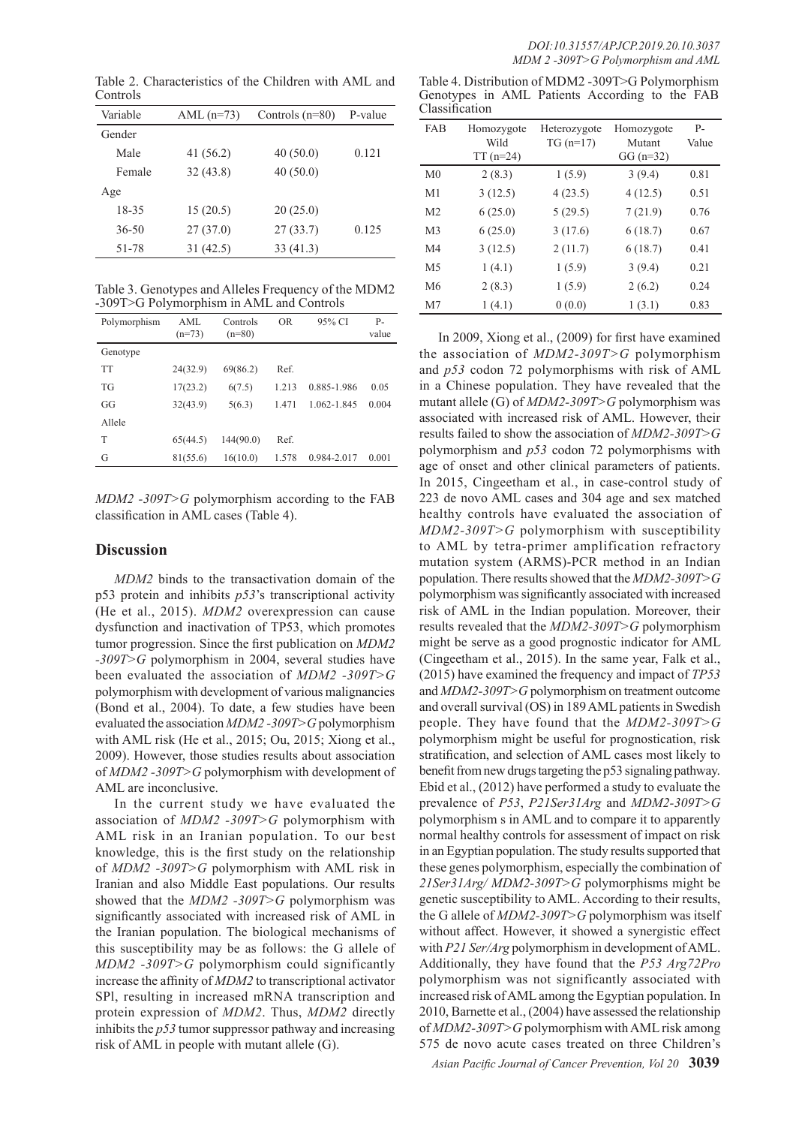Table 2. Characteristics of the Children with AML and Controls

| Variable  | AML $(n=73)$ | Controls $(n=80)$ | P-value |
|-----------|--------------|-------------------|---------|
| Gender    |              |                   |         |
| Male      | 41 $(56.2)$  | 40(50.0)          | 0.121   |
| Female    | 32(43.8)     | 40(50.0)          |         |
| Age       |              |                   |         |
| 18-35     | 15(20.5)     | 20(25.0)          |         |
| $36 - 50$ | 27(37.0)     | 27(33.7)          | 0.125   |
| 51-78     | 31(42.5)     | 33(41.3)          |         |

Table 3. Genotypes and Alleles Frequency of the MDM2 -309T>G Polymorphism in AML and Controls

| Polymorphism | AML<br>$(n=73)$ | Controls<br>$(n=80)$ | <b>OR</b> | 95% CI      | $P-$<br>value |
|--------------|-----------------|----------------------|-----------|-------------|---------------|
| Genotype     |                 |                      |           |             |               |
| TT           | 24(32.9)        | 69(86.2)             | Ref.      |             |               |
| <b>TG</b>    | 17(23.2)        | 6(7.5)               | 1.213     | 0.885-1.986 | 0.05          |
| GG           | 32(43.9)        | 5(6.3)               | 1.471     | 1.062-1.845 | 0.004         |
| Allele       |                 |                      |           |             |               |
| T            | 65(44.5)        | 144(90.0)            | Ref.      |             |               |
| G            | 81(55.6)        | 16(10.0)             | 1.578     | 0.984-2.017 | 0.001         |

*MDM2 -309T>G* polymorphism according to the FAB classification in AML cases (Table 4).

# **Discussion**

*MDM2* binds to the transactivation domain of the p53 protein and inhibits *p53*'s transcriptional activity (He et al., 2015). *MDM2* overexpression can cause dysfunction and inactivation of TP53, which promotes tumor progression. Since the first publication on *MDM2 -309T>G* polymorphism in 2004, several studies have been evaluated the association of *MDM2 -309T>G* polymorphism with development of various malignancies (Bond et al., 2004). To date, a few studies have been evaluated the association *MDM2 -309T>G* polymorphism with AML risk (He et al., 2015; Ou, 2015; Xiong et al., 2009). However, those studies results about association of *MDM2 -309T>G* polymorphism with development of AML are inconclusive.

In the current study we have evaluated the association of *MDM2 -309T>G* polymorphism with AML risk in an Iranian population. To our best knowledge, this is the first study on the relationship of *MDM2 -309T>G* polymorphism with AML risk in Iranian and also Middle East populations. Our results showed that the *MDM2 -309T>G* polymorphism was significantly associated with increased risk of AML in the Iranian population. The biological mechanisms of this susceptibility may be as follows: the G allele of *MDM2 -309T>G* polymorphism could significantly increase the affinity of *MDM2* to transcriptional activator SPl, resulting in increased mRNA transcription and protein expression of *MDM2*. Thus, *MDM2* directly inhibits the *p53* tumor suppressor pathway and increasing risk of AML in people with mutant allele (G).

|                |  | Table 4. Distribution of MDM2 -309T>G Polymorphism |  |  |
|----------------|--|----------------------------------------------------|--|--|
|                |  | Genotypes in AML Patients According to the FAB     |  |  |
| Classification |  |                                                    |  |  |

| <b>FAB</b>     | Homozygote<br>Wild<br>$TT(n=24)$ | Heterozygote<br>$TG(n=17)$ | Homozygote<br>Mutant<br>$GG (n=32)$ | $P -$<br>Value |
|----------------|----------------------------------|----------------------------|-------------------------------------|----------------|
| M <sub>0</sub> | 2(8.3)                           | 1(5.9)                     | 3(9.4)                              | 0.81           |
| M <sub>1</sub> | 3(12.5)                          | 4(23.5)                    | 4(12.5)                             | 0.51           |
| M <sub>2</sub> | 6(25.0)                          | 5(29.5)                    | 7(21.9)                             | 0.76           |
| M <sub>3</sub> | 6(25.0)                          | 3(17.6)                    | 6(18.7)                             | 0.67           |
| M <sub>4</sub> | 3(12.5)                          | 2(11.7)                    | 6(18.7)                             | 0.41           |
| M <sub>5</sub> | 1(4.1)                           | 1(5.9)                     | 3(9.4)                              | 0.21           |
| M6             | 2(8.3)                           | 1(5.9)                     | 2(6.2)                              | 0.24           |
| M <sub>7</sub> | 1(4.1)                           | 0(0.0)                     | 1(3.1)                              | 0.83           |

In 2009, Xiong et al., (2009) for first have examined the association of *MDM2-309T>G* polymorphism and *p53* codon 72 polymorphisms with risk of AML in a Chinese population. They have revealed that the mutant allele (G) of *MDM2-309T>G* polymorphism was associated with increased risk of AML. However, their results failed to show the association of *MDM2-309T>G* polymorphism and *p53* codon 72 polymorphisms with age of onset and other clinical parameters of patients. In 2015, Cingeetham et al., in case-control study of 223 de novo AML cases and 304 age and sex matched healthy controls have evaluated the association of *MDM2-309T>G* polymorphism with susceptibility to AML by tetra-primer amplification refractory mutation system (ARMS)-PCR method in an Indian population. There results showed that the *MDM2-309T>G* polymorphism was significantly associated with increased risk of AML in the Indian population. Moreover, their results revealed that the *MDM2-309T>G* polymorphism might be serve as a good prognostic indicator for AML (Cingeetham et al., 2015). In the same year, Falk et al., (2015) have examined the frequency and impact of *TP53* and *MDM2-309T>G* polymorphism on treatment outcome and overall survival (OS) in 189 AML patients in Swedish people. They have found that the *MDM2-309T>G*  polymorphism might be useful for prognostication, risk stratification, and selection of AML cases most likely to benefit from new drugs targeting the p53 signaling pathway. Ebid et al., (2012) have performed a study to evaluate the prevalence of *P53*, *P21Ser31Arg* and *MDM2-309T>G* polymorphism s in AML and to compare it to apparently normal healthy controls for assessment of impact on risk in an Egyptian population. The study results supported that these genes polymorphism, especially the combination of *21Ser31Arg/ MDM2-309T>G* polymorphisms might be genetic susceptibility to AML. According to their results, the G allele of *MDM2-309T>G* polymorphism was itself without affect. However, it showed a synergistic effect with *P21 Ser/Arg* polymorphism in development of AML. Additionally, they have found that the *P53 Arg72Pro* polymorphism was not significantly associated with increased risk of AML among the Egyptian population. In 2010, Barnette et al., (2004) have assessed the relationship of *MDM2-309T>G* polymorphism with AML risk among 575 de novo acute cases treated on three Children's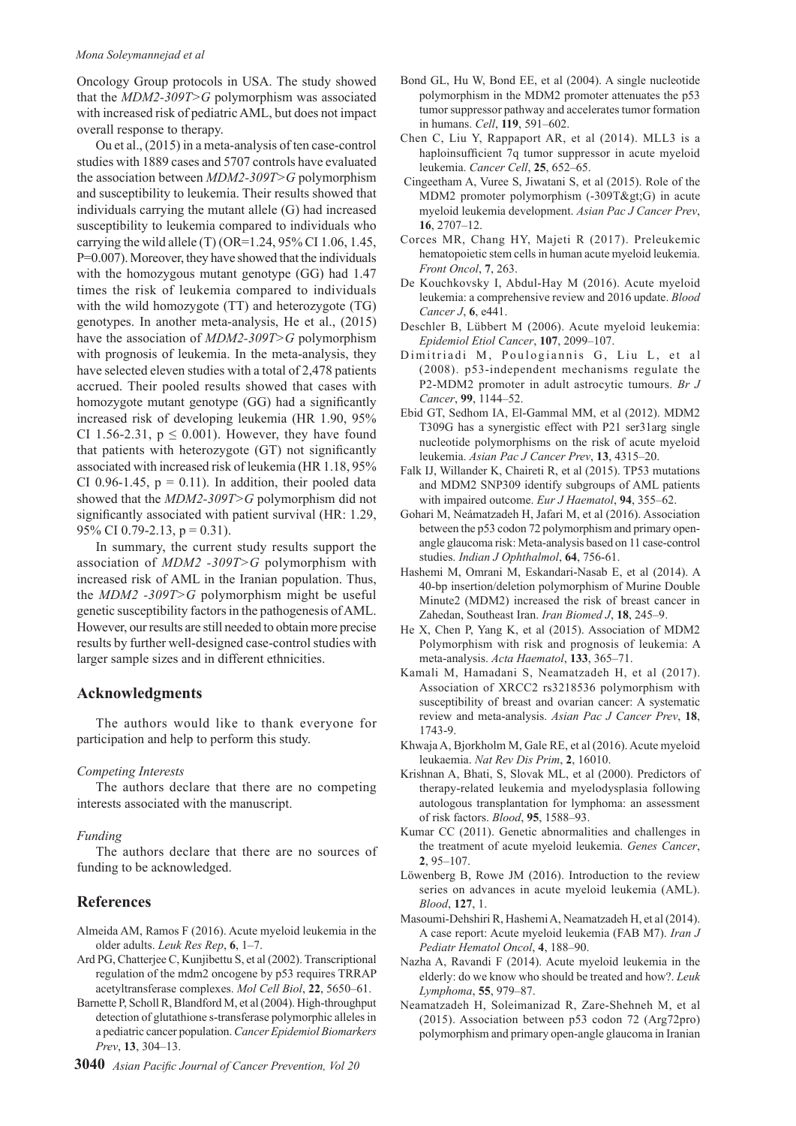#### *Mona Soleymannejad et al*

Oncology Group protocols in USA. The study showed that the *MDM2-309T>G* polymorphism was associated with increased risk of pediatric AML, but does not impact overall response to therapy.

Ou et al., (2015) in a meta-analysis of ten case-control studies with 1889 cases and 5707 controls have evaluated the association between *MDM2-309T>G* polymorphism and susceptibility to leukemia. Their results showed that individuals carrying the mutant allele (G) had increased susceptibility to leukemia compared to individuals who carrying the wild allele (T) (OR=1.24, 95% CI 1.06, 1.45, P=0.007). Moreover, they have showed that the individuals with the homozygous mutant genotype (GG) had 1.47 times the risk of leukemia compared to individuals with the wild homozygote (TT) and heterozygote (TG) genotypes. In another meta-analysis, He et al., (2015) have the association of *MDM2-309T>G* polymorphism with prognosis of leukemia. In the meta-analysis, they have selected eleven studies with a total of 2,478 patients accrued. Their pooled results showed that cases with homozygote mutant genotype (GG) had a significantly increased risk of developing leukemia (HR 1.90, 95% CI 1.56-2.31,  $p \le 0.001$ ). However, they have found that patients with heterozygote (GT) not significantly associated with increased risk of leukemia (HR 1.18, 95% CI 0.96-1.45,  $p = 0.11$ ). In addition, their pooled data showed that the *MDM2-309T>G* polymorphism did not significantly associated with patient survival (HR: 1.29, 95% CI 0.79-2.13,  $p = 0.31$ ).

In summary, the current study results support the association of *MDM2 -309T>G* polymorphism with increased risk of AML in the Iranian population. Thus, the *MDM2 -309T>G* polymorphism might be useful genetic susceptibility factors in the pathogenesis of AML. However, our results are still needed to obtain more precise results by further well-designed case-control studies with larger sample sizes and in different ethnicities.

## **Acknowledgments**

The authors would like to thank everyone for participation and help to perform this study.

#### *Competing Interests*

The authors declare that there are no competing interests associated with the manuscript.

#### *Funding*

The authors declare that there are no sources of funding to be acknowledged.

# **References**

- Almeida AM, Ramos F (2016). Acute myeloid leukemia in the older adults. *Leuk Res Rep*, **6**, 1–7.
- Ard PG, Chatterjee C, Kunjibettu S, et al (2002). Transcriptional regulation of the mdm2 oncogene by p53 requires TRRAP acetyltransferase complexes. *Mol Cell Biol*, **22**, 5650–61.
- Barnette P, Scholl R, Blandford M, et al (2004). High-throughput detection of glutathione s-transferase polymorphic alleles in a pediatric cancer population. *Cancer Epidemiol Biomarkers Prev*, **13**, 304–13.
- **3040** *Asian Pacific Journal of Cancer Prevention, Vol 20*
- Bond GL, Hu W, Bond EE, et al (2004). A single nucleotide polymorphism in the MDM2 promoter attenuates the p53 tumor suppressor pathway and accelerates tumor formation in humans. *Cell*, **119**, 591–602.
- Chen C, Liu Y, Rappaport AR, et al (2014). MLL3 is a haploinsufficient 7q tumor suppressor in acute myeloid leukemia. *Cancer Cell*, **25**, 652–65.
- Cingeetham A, Vuree S, Jiwatani S, et al (2015). Role of the MDM2 promoter polymorphism (-309T>G) in acute myeloid leukemia development. *Asian Pac J Cancer Prev*, **16**, 2707–12.
- Corces MR, Chang HY, Majeti R (2017). Preleukemic hematopoietic stem cells in human acute myeloid leukemia. *Front Oncol*, **7**, 263.
- De Kouchkovsky I, Abdul-Hay M (2016). Acute myeloid leukemia: a comprehensive review and 2016 update. *Blood Cancer J*, **6**, e441.
- Deschler B, Lübbert M (2006). Acute myeloid leukemia: *Epidemiol Etiol Cancer*, **107**, 2099–107.
- Dimitriadi M, Poulogiannis G, Liu L, et al (2008). p53-independent mechanisms regulate the P2-MDM2 promoter in adult astrocytic tumours. *Br J Cancer*, **99**, 1144–52.
- Ebid GT, Sedhom IA, El-Gammal MM, et al (2012). MDM2 T309G has a synergistic effect with P21 ser31arg single nucleotide polymorphisms on the risk of acute myeloid leukemia. *Asian Pac J Cancer Prev*, **13**, 4315–20.
- Falk IJ, Willander K, Chaireti R, et al (2015). TP53 mutations and MDM2 SNP309 identify subgroups of AML patients with impaired outcome. *Eur J Haematol*, **94**, 355–62.
- Gohari M, Neámatzadeh H, Jafari M, et al (2016). Association between the p53 codon 72 polymorphism and primary openangle glaucoma risk: Meta-analysis based on 11 case-control studies. *Indian J Ophthalmol*, **64**, 756-61.
- Hashemi M, Omrani M, Eskandari-Nasab E, et al (2014). A 40-bp insertion/deletion polymorphism of Murine Double Minute2 (MDM2) increased the risk of breast cancer in Zahedan, Southeast Iran. *Iran Biomed J*, **18**, 245–9.
- He X, Chen P, Yang K, et al (2015). Association of MDM2 Polymorphism with risk and prognosis of leukemia: A meta-analysis. *Acta Haematol*, **133**, 365–71.
- Kamali M, Hamadani S, Neamatzadeh H, et al (2017). Association of XRCC2 rs3218536 polymorphism with susceptibility of breast and ovarian cancer: A systematic review and meta-analysis. *Asian Pac J Cancer Prev*, **18**, 1743-9.
- Khwaja A, Bjorkholm M, Gale RE, et al (2016). Acute myeloid leukaemia. *Nat Rev Dis Prim*, **2**, 16010.
- Krishnan A, Bhati, S, Slovak ML, et al (2000). Predictors of therapy-related leukemia and myelodysplasia following autologous transplantation for lymphoma: an assessment of risk factors. *Blood*, **95**, 1588–93.
- Kumar CC (2011). Genetic abnormalities and challenges in the treatment of acute myeloid leukemia. *Genes Cancer*, **2**, 95–107.
- Löwenberg B, Rowe JM (2016). Introduction to the review series on advances in acute myeloid leukemia (AML). *Blood*, **127**, 1.
- Masoumi-Dehshiri R, Hashemi A, Neamatzadeh H, et al (2014). A case report: Acute myeloid leukemia (FAB M7). *Iran J Pediatr Hematol Oncol*, **4**, 188–90.
- Nazha A, Ravandi F (2014). Acute myeloid leukemia in the elderly: do we know who should be treated and how?. *Leuk Lymphoma*, **55**, 979–87.
- Neamatzadeh H, Soleimanizad R, Zare-Shehneh M, et al (2015). Association between p53 codon 72 (Arg72pro) polymorphism and primary open-angle glaucoma in Iranian